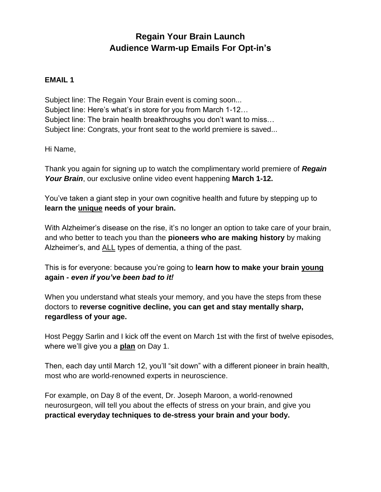# **Regain Your Brain Launch Audience Warm-up Emails For Opt-in's**

# **EMAIL 1**

Subject line: The Regain Your Brain event is coming soon... Subject line: Here's what's in store for you from March 1-12… Subject line: The brain health breakthroughs you don't want to miss… Subject line: Congrats, your front seat to the world premiere is saved...

Hi Name,

Thank you again for signing up to watch the complimentary world premiere of *Regain Your Brain*, our exclusive online video event happening **March 1-12.** 

You've taken a giant step in your own cognitive health and future by stepping up to **learn the unique needs of your brain.**

With Alzheimer's disease on the rise, it's no longer an option to take care of your brain, and who better to teach you than the **pioneers who are making history** by making Alzheimer's, and ALL types of dementia, a thing of the past.

This is for everyone: because you're going to **learn how to make your brain young again -** *even if you've been bad to it!*

When you understand what steals your memory, and you have the steps from these doctors to **reverse cognitive decline, you can get and stay mentally sharp, regardless of your age.**

Host Peggy Sarlin and I kick off the event on March 1st with the first of twelve episodes, where we'll give you a **plan** on Day 1.

Then, each day until March 12, you'll "sit down" with a different pioneer in brain health, most who are world-renowned experts in neuroscience.

For example, on Day 8 of the event, Dr. Joseph Maroon, a world-renowned neurosurgeon, will tell you about the effects of stress on your brain, and give you **practical everyday techniques to de-stress your brain and your body.**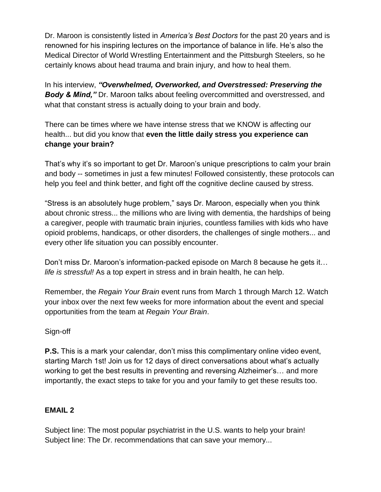Dr. Maroon is consistently listed in *America's Best Doctors* for the past 20 years and is renowned for his inspiring lectures on the importance of balance in life. He's also the Medical Director of World Wrestling Entertainment and the Pittsburgh Steelers, so he certainly knows about head trauma and brain injury, and how to heal them.

In his interview, *"Overwhelmed, Overworked, and Overstressed: Preserving the Body & Mind,"* Dr. Maroon talks about feeling overcommitted and overstressed, and what that constant stress is actually doing to your brain and body.

There can be times where we have intense stress that we KNOW is affecting our health... but did you know that **even the little daily stress you experience can change your brain?** 

That's why it's so important to get Dr. Maroon's unique prescriptions to calm your brain and body -- sometimes in just a few minutes! Followed consistently, these protocols can help you feel and think better, and fight off the cognitive decline caused by stress.

"Stress is an absolutely huge problem," says Dr. Maroon, especially when you think about chronic stress... the millions who are living with dementia, the hardships of being a caregiver, people with traumatic brain injuries, countless families with kids who have opioid problems, handicaps, or other disorders, the challenges of single mothers... and every other life situation you can possibly encounter.

Don't miss Dr. Maroon's information-packed episode on March 8 because he gets it… *life is stressful!* As a top expert in stress and in brain health, he can help.

Remember, the *Regain Your Brain* event runs from March 1 through March 12. Watch your inbox over the next few weeks for more information about the event and special opportunities from the team at *Regain Your Brain*.

Sign-off

**P.S.** This is a mark your calendar, don't miss this complimentary online video event, starting March 1st! Join us for 12 days of direct conversations about what's actually working to get the best results in preventing and reversing Alzheimer's… and more importantly, the exact steps to take for you and your family to get these results too.

# **EMAIL 2**

Subject line: The most popular psychiatrist in the U.S. wants to help your brain! Subject line: The Dr. recommendations that can save your memory...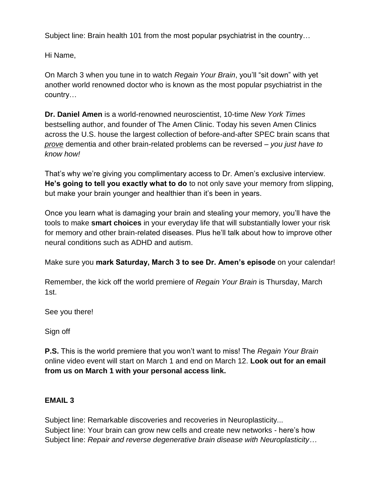Subject line: Brain health 101 from the most popular psychiatrist in the country…

Hi Name,

On March 3 when you tune in to watch *Regain Your Brain*, you'll "sit down" with yet another world renowned doctor who is known as the most popular psychiatrist in the country…

**Dr. Daniel Amen** is a world-renowned neuroscientist, 10-time *New York Times* bestselling author, and founder of The Amen Clinic. Today his seven Amen Clinics across the U.S. house the largest collection of before-and-after SPEC brain scans that *prove* dementia and other brain-related problems can be reversed – *you just have to know how!*

That's why we're giving you complimentary access to Dr. Amen's exclusive interview. **He's going to tell you exactly what to do** to not only save your memory from slipping, but make your brain younger and healthier than it's been in years.

Once you learn what is damaging your brain and stealing your memory, you'll have the tools to make **smart choices** in your everyday life that will substantially lower your risk for memory and other brain-related diseases. Plus he'll talk about how to improve other neural conditions such as ADHD and autism.

Make sure you **mark Saturday, March 3 to see Dr. Amen's episode** on your calendar!

Remember, the kick off the world premiere of *Regain Your Brain* is Thursday, March 1st.

See you there!

Sign off

**P.S.** This is the world premiere that you won't want to miss! The *Regain Your Brain* online video event will start on March 1 and end on March 12. **Look out for an email from us on March 1 with your personal access link.**

#### **EMAIL 3**

Subject line: Remarkable discoveries and recoveries in Neuroplasticity... Subject line: Your brain can grow new cells and create new networks - here's how Subject line: *Repair and reverse degenerative brain disease with Neuroplasticity…*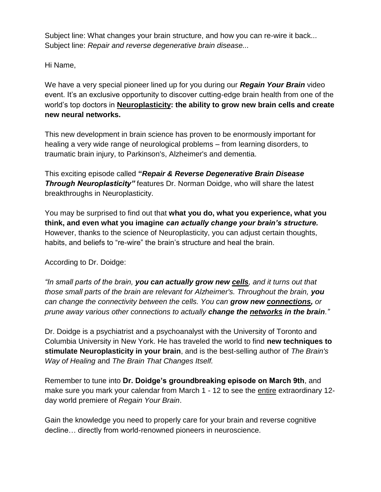Subject line: What changes your brain structure, and how you can re-wire it back... Subject line: *Repair and reverse degenerative brain disease...*

Hi Name,

We have a very special pioneer lined up for you during our *Regain Your Brain* video event. It's an exclusive opportunity to discover cutting-edge brain health from one of the world's top doctors in **Neuroplasticity: the ability to grow new brain cells and create new neural networks.**

This new development in brain science has proven to be enormously important for healing a very wide range of neurological problems – from learning disorders, to traumatic brain injury, to Parkinson's, Alzheimer's and dementia.

This exciting episode called **"***Repair & Reverse Degenerative Brain Disease Through Neuroplasticity"* features Dr. Norman Doidge, who will share the latest breakthroughs in Neuroplasticity.

You may be surprised to find out that **what you do, what you experience, what you think, and even what you imagine** *can actually change your brain's structure.*  However, thanks to the science of Neuroplasticity, you can adjust certain thoughts, habits, and beliefs to "re-wire" the brain's structure and heal the brain.

According to Dr. Doidge:

*"In small parts of the brain, you can actually grow new cells, and it turns out that those small parts of the brain are relevant for Alzheimer's. Throughout the brain, you can change the connectivity between the cells. You can grow new connections, or prune away various other connections to actually change the networks in the brain."*

Dr. Doidge is a psychiatrist and a psychoanalyst with the University of Toronto and Columbia University in New York. He has traveled the world to find **new techniques to stimulate Neuroplasticity in your brain**, and is the best-selling author of *The Brain's Way of Healing* and *The Brain That Changes Itself.*

Remember to tune into **Dr. Doidge's groundbreaking episode on March 9th**, and make sure you mark your calendar from March 1 - 12 to see the entire extraordinary 12 day world premiere of *Regain Your Brain*.

Gain the knowledge you need to properly care for your brain and reverse cognitive decline… directly from world-renowned pioneers in neuroscience.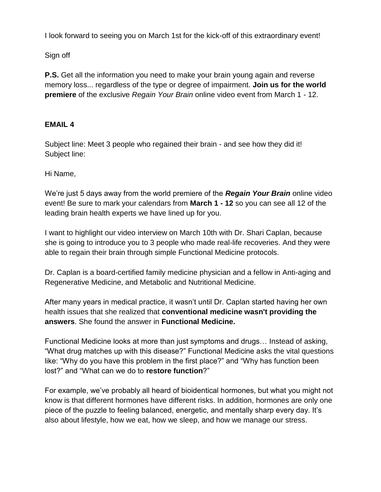I look forward to seeing you on March 1st for the kick-off of this extraordinary event!

Sign off

**P.S.** Get all the information you need to make your brain young again and reverse memory loss... regardless of the type or degree of impairment. **Join us for the world premiere** of the exclusive *Regain Your Brain* online video event from March 1 - 12.

# **EMAIL 4**

Subject line: Meet 3 people who regained their brain - and see how they did it! Subject line:

Hi Name,

We're just 5 days away from the world premiere of the *Regain Your Brain* online video event! Be sure to mark your calendars from **March 1 - 12** so you can see all 12 of the leading brain health experts we have lined up for you.

I want to highlight our video interview on March 10th with Dr. Shari Caplan, because she is going to introduce you to 3 people who made real-life recoveries. And they were able to regain their brain through simple Functional Medicine protocols.

Dr. Caplan is a board-certified family medicine physician and a fellow in Anti-aging and Regenerative Medicine, and Metabolic and Nutritional Medicine.

After many years in medical practice, it wasn't until Dr. Caplan started having her own health issues that she realized that **conventional medicine wasn't providing the answers**. She found the answer in **Functional Medicine.**

Functional Medicine looks at more than just symptoms and drugs… Instead of asking, "What drug matches up with this disease?" Functional Medicine asks the vital questions like: "Why do you have this problem in the first place?" and "Why has function been lost?" and "What can we do to **restore function**?"

For example, we've probably all heard of bioidentical hormones, but what you might not know is that different hormones have different risks. In addition, hormones are only one piece of the puzzle to feeling balanced, energetic, and mentally sharp every day. It's also about lifestyle, how we eat, how we sleep, and how we manage our stress.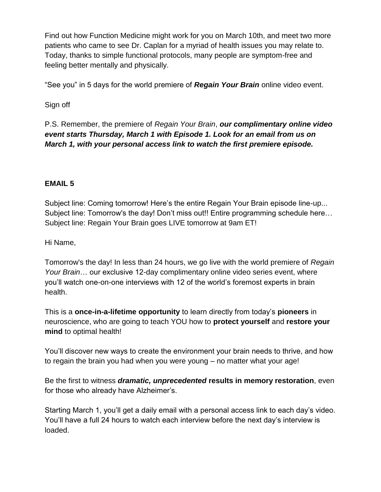Find out how Function Medicine might work for you on March 10th, and meet two more patients who came to see Dr. Caplan for a myriad of health issues you may relate to. Today, thanks to simple functional protocols, many people are symptom-free and feeling better mentally and physically.

"See you" in 5 days for the world premiere of *Regain Your Brain* online video event.

Sign off

P.S. Remember, the premiere of *Regain Your Brain*, *our complimentary online video event starts Thursday, March 1 with Episode 1. Look for an email from us on March 1, with your personal access link to watch the first premiere episode.* 

# **EMAIL 5**

Subject line: Coming tomorrow! Here's the entire Regain Your Brain episode line-up... Subject line: Tomorrow's the day! Don't miss out!! Entire programming schedule here… Subject line: Regain Your Brain goes LIVE tomorrow at 9am ET!

Hi Name,

Tomorrow's the day! In less than 24 hours, we go live with the world premiere of *Regain Your Brain*… our exclusive 12-day complimentary online video series event, where you'll watch one-on-one interviews with 12 of the world's foremost experts in brain health.

This is a **once-in-a-lifetime opportunity** to learn directly from today's **pioneers** in neuroscience, who are going to teach YOU how to **protect yourself** and **restore your mind** to optimal health!

You'll discover new ways to create the environment your brain needs to thrive, and how to regain the brain you had when you were young – no matter what your age!

Be the first to witness *dramatic, unprecedented* **results in memory restoration**, even for those who already have Alzheimer's.

Starting March 1, you'll get a daily email with a personal access link to each day's video. You'll have a full 24 hours to watch each interview before the next day's interview is loaded.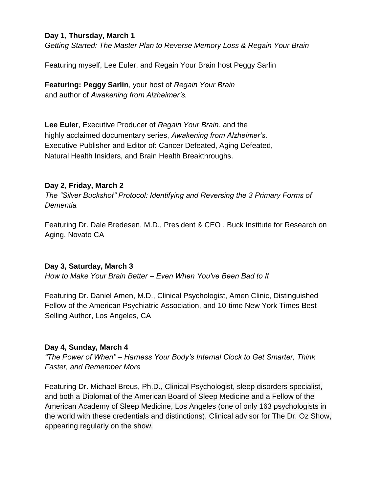#### **Day 1, Thursday, March 1**

*Getting Started: The Master Plan to Reverse Memory Loss & Regain Your Brain*

Featuring myself, Lee Euler, and Regain Your Brain host Peggy Sarlin

**Featuring: Peggy Sarlin**, your host of *Regain Your Brain* and author of *Awakening from Alzheimer's.*

**Lee Euler**, Executive Producer of *Regain Your Brain*, and the highly acclaimed documentary series, *Awakening from Alzheimer's.* Executive Publisher and Editor of: Cancer Defeated, Aging Defeated, Natural Health Insiders, and Brain Health Breakthroughs.

#### **Day 2, Friday, March 2**

*The "Silver Buckshot" Protocol: Identifying and Reversing the 3 Primary Forms of Dementia*

Featuring Dr. Dale Bredesen, M.D., President & CEO , Buck Institute for Research on Aging, Novato CA

#### **Day 3, Saturday, March 3**

*How to Make Your Brain Better – Even When You've Been Bad to It*

Featuring Dr. Daniel Amen, M.D., Clinical Psychologist, Amen Clinic, Distinguished Fellow of the American Psychiatric Association, and 10-time New York Times Best-Selling Author, Los Angeles, CA

# **Day 4, Sunday, March 4**

*"The Power of When" – Harness Your Body's Internal Clock to Get Smarter, Think Faster, and Remember More*

Featuring Dr. Michael Breus, Ph.D., Clinical Psychologist, sleep disorders specialist, and both a Diplomat of the American Board of Sleep Medicine and a Fellow of the American Academy of Sleep Medicine, Los Angeles (one of only 163 psychologists in the world with these credentials and distinctions). Clinical advisor for The Dr. Oz Show, appearing regularly on the show.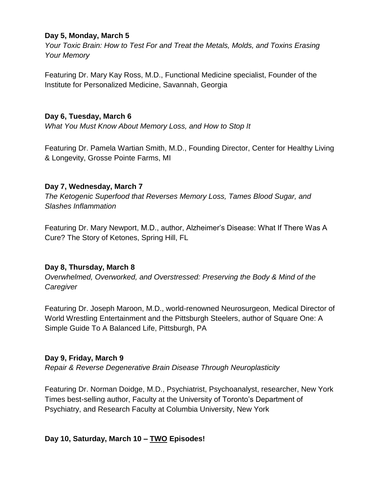#### **Day 5, Monday, March 5**

*Your Toxic Brain: How to Test For and Treat the Metals, Molds, and Toxins Erasing Your Memory*

Featuring Dr. Mary Kay Ross, M.D., Functional Medicine specialist, Founder of the Institute for Personalized Medicine, Savannah, Georgia

### **Day 6, Tuesday, March 6**

*What You Must Know About Memory Loss, and How to Stop It*

Featuring Dr. Pamela Wartian Smith, M.D., Founding Director, Center for Healthy Living & Longevity, Grosse Pointe Farms, MI

#### **Day 7, Wednesday, March 7**

*The Ketogenic Superfood that Reverses Memory Loss, Tames Blood Sugar, and Slashes Inflammation*

Featuring Dr. Mary Newport, M.D., author, Alzheimer's Disease: What If There Was A Cure? The Story of Ketones, Spring Hill, FL

# **Day 8, Thursday, March 8**

*Overwhelmed, Overworked, and Overstressed: Preserving the Body & Mind of the Caregiver*

Featuring Dr. Joseph Maroon, M.D., world-renowned Neurosurgeon, Medical Director of World Wrestling Entertainment and the Pittsburgh Steelers, author of Square One: A Simple Guide To A Balanced Life, Pittsburgh, PA

# **Day 9, Friday, March 9**

*Repair & Reverse Degenerative Brain Disease Through Neuroplasticity*

Featuring Dr. Norman Doidge, M.D., Psychiatrist, Psychoanalyst, researcher, New York Times best-selling author, Faculty at the University of Toronto's Department of Psychiatry, and Research Faculty at Columbia University, New York

# **Day 10, Saturday, March 10** *–* **TWO Episodes!**